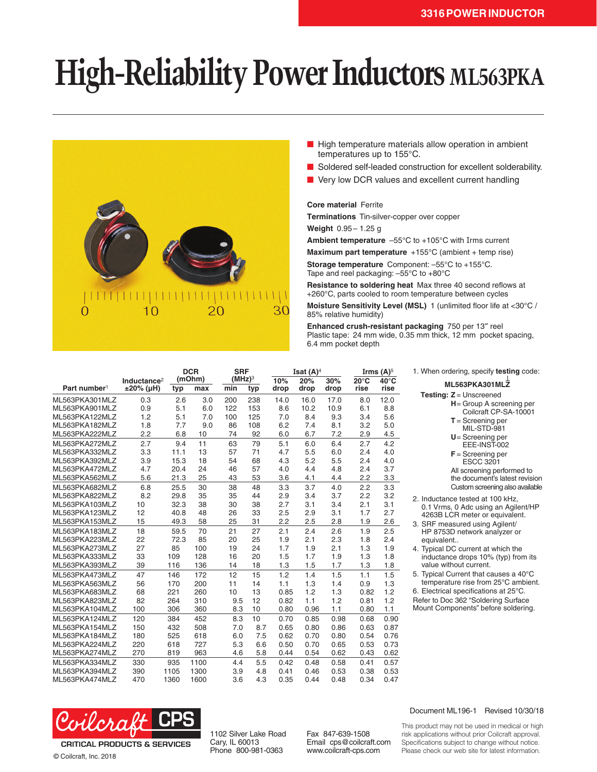## **High-Reliability Power Inductors ML563PKA**



- High temperature materials allow operation in ambient temperatures up to 155°C.
- Soldered self-leaded construction for excellent solderability.
- Very low DCR values and excellent current handling

## **Core material** Ferrite

**Terminations** Tin-silver-copper over copper

**Weight** 0.95– 1.25 g

**Ambient temperature** –55°C to +105°C with Irms current

**Maximum part temperature** +155°C (ambient + temp rise)

**Storage temperature** Component: –55°C to +155°C. Tape and reel packaging: –55°C to +80°C

**Resistance to soldering heat** Max three 40 second reflows at +260°C, parts cooled to room temperature between cycles

**Moisture Sensitivity Level (MSL)** 1 (unlimited floor life at <30°C / 85% relative humidity)

**Enhanced crush-resistant packaging** 750 per 13″ reel Plastic tape: 24 mm wide, 0.35 mm thick, 12 mm pocket spacing, 6.4 mm pocket depth

|                          |                                      |      | <b>DCR</b><br>(mOhm) |     | <b>SRF</b><br>(MHz) <sup>3</sup> |             | Isat $(A)^4$ |             |                        | Irms $(A)^5$           |  |
|--------------------------|--------------------------------------|------|----------------------|-----|----------------------------------|-------------|--------------|-------------|------------------------|------------------------|--|
| Part number <sup>1</sup> | Inductance <sup>2</sup><br>±20% (µH) | typ  | max                  | min | typ                              | 10%<br>drop | 20%<br>drop  | 30%<br>drop | $20^{\circ}$ C<br>rise | $40^{\circ}$ C<br>rise |  |
| ML563PKA301MLZ           | 0.3                                  | 2.6  | 3.0                  | 200 | 238                              | 14.0        | 16.0         | 17.0        | 8.0                    | 12.0                   |  |
| ML563PKA901MLZ           | 0.9                                  | 5.1  | 6.0                  | 122 | 153                              | 8.6         | 10.2         | 10.9        | 6.1                    | 8.8                    |  |
| ML563PKA122MLZ           | 1.2                                  | 5.1  | 7.0                  | 100 | 125                              | 7.0         | 8.4          | 9.3         | 3.4                    | 5.6                    |  |
| ML563PKA182MLZ           | 1.8                                  | 7.7  | 9.0                  | 86  | 108                              | 6.2         | 7.4          | 8.1         | 3.2                    | 5.0                    |  |
| ML563PKA222MLZ           | 2.2                                  | 6.8  | 10                   | 74  | 92                               | 6.0         | 6.7          | 7.2         | 2.9                    | 4.5                    |  |
| ML563PKA272MLZ           | 2.7                                  | 9.4  | 11                   | 63  | 79                               | 5.1         | 6.0          | 6.4         | 2.7                    | 4.2                    |  |
| ML563PKA332MLZ           | 3.3                                  | 11.1 | 13                   | 57  | 71                               | 4.7         | 5.5          | 6.0         | 2.4                    | 4.0                    |  |
| ML563PKA392MLZ           | 3.9                                  | 15.3 | 18                   | 54  | 68                               | 4.3         | 5.2          | 5.5         | 2.4                    | 4.0                    |  |
| ML563PKA472MLZ           | 4.7                                  | 20.4 | 24                   | 46  | 57                               | 4.0         | 4.4          | 4.8         | 2.4                    | 3.7                    |  |
| ML563PKA562MLZ           | 5.6                                  | 21.3 | 25                   | 43  | 53                               | 3.6         | 4.1          | 4.4         | 2.2                    | 3.3                    |  |
| ML563PKA682MLZ           | 6.8                                  | 25.5 | 30                   | 38  | 48                               | 3.3         | 3.7          | 4.0         | 2.2                    | 3.3                    |  |
| ML563PKA822MLZ           | 8.2                                  | 29.8 | 35                   | 35  | 44                               | 2.9         | 3.4          | 3.7         | 2.2                    | 3.2                    |  |
| ML563PKA103MLZ           | 10                                   | 32.3 | 38                   | 30  | 38                               | 2.7         | 3.1          | 3.4         | 2.1                    | 3.1                    |  |
| ML563PKA123MLZ           | 12                                   | 40.8 | 48                   | 26  | 33                               | 2.5         | 2.9          | 3.1         | 1.7                    | 2.7                    |  |
| ML563PKA153MLZ           | 15                                   | 49.3 | 58                   | 25  | 31                               | 2.2         | 2.5          | 2.8         | 1.9                    | 2.6                    |  |
| ML563PKA183MLZ           | 18                                   | 59.5 | 70                   | 21  | 27                               | 2.1         | 2.4          | 2.6         | 1.9                    | 2.5                    |  |
| ML563PKA223MLZ           | 22                                   | 72.3 | 85                   | 20  | 25                               | 1.9         | 2.1          | 2.3         | 1.8                    | 2.4                    |  |
| ML563PKA273MLZ           | 27                                   | 85   | 100                  | 19  | 24                               | 1.7         | 1.9          | 2.1         | 1.3                    | 1.9                    |  |
| ML563PKA333MLZ           | 33                                   | 109  | 128                  | 16  | 20                               | 1.5         | 1.7          | 1.9         | 1.3                    | 1.8                    |  |
| ML563PKA393MLZ           | 39                                   | 116  | 136                  | 14  | 18                               | 1.3         | 1.5          | 1.7         | 1.3                    | 1.8                    |  |
| ML563PKA473MLZ           | 47                                   | 146  | 172                  | 12  | 15                               | 1.2         | 1.4          | 1.5         | 1.1                    | 1.5                    |  |
| ML563PKA563MLZ           | 56                                   | 170  | 200                  | 11  | 14                               | 1.1         | 1.3          | 1.4         | 0.9                    | 1.3                    |  |
| ML563PKA683MLZ           | 68                                   | 221  | 260                  | 10  | 13                               | 0.85        | 1.2          | 1.3         | 0.82                   | 1.2                    |  |
| ML563PKA823MLZ           | 82                                   | 264  | 310                  | 9.5 | 12                               | 0.82        | 1.1          | 1.2         | 0.81                   | 1.2                    |  |
| ML563PKA104MLZ           | 100                                  | 306  | 360                  | 8.3 | 10                               | 0.80        | 0.96         | 1.1         | 0.80                   | 1.1                    |  |
| ML563PKA124MLZ           | 120                                  | 384  | 452                  | 8.3 | 10                               | 0.70        | 0.85         | 0.98        | 0.68                   | 0.90                   |  |
| ML563PKA154MLZ           | 150                                  | 432  | 508                  | 7.0 | 8.7                              | 0.65        | 0.80         | 0.86        | 0.63                   | 0.87                   |  |
| ML563PKA184MLZ           | 180                                  | 525  | 618                  | 6.0 | 7.5                              | 0.62        | 0.70         | 0.80        | 0.54                   | 0.76                   |  |
| ML563PKA224MLZ           | 220                                  | 618  | 727                  | 5.3 | 6.6                              | 0.50        | 0.70         | 0.65        | 0.53                   | 0.73                   |  |
| ML563PKA274MLZ           | 270                                  | 819  | 963                  | 4.6 | 5.8                              | 0.44        | 0.54         | 0.62        | 0.43                   | 0.62                   |  |
| ML563PKA334MLZ           | 330                                  | 935  | 1100                 | 4.4 | 5.5                              | 0.42        | 0.48         | 0.58        | 0.41                   | 0.57                   |  |
| ML563PKA394MLZ           | 390                                  | 1105 | 1300                 | 3.9 | 4.8                              | 0.41        | 0.46         | 0.53        | 0.38                   | 0.53                   |  |
| ML563PKA474MLZ           | 470                                  | 1360 | 1600                 | 3.6 | 4.3                              | 0.35        | 0.44         | 0.48        | 0.34                   | 0.47                   |  |

1. When ordering, specify **testing** code:

- **ML563PKA301MLZ**
- **Testing: Z** = Unscreened **H**= Group A screening per
	- Coilcraft CP-SA-10001
	- **T** = Screening per
	- MIL-STD-981
	- **U**= Screening per EEE-INST-002
	- **F** = Screening per ESCC 3201 All screening performed to
	- the document's latest revision Custom screening also available
- 2. Inductance tested at 100 kHz, 0.1 Vrms, 0 Adc using an Agilent/HP 4263B LCR meter or equivalent.
- 3. SRF measured using Agilent/ HP 8753D network analyzer or equivalent..
- 4. Typical DC current at which the inductance drops 10% (typ) from its value without current.
- 5. Typical Current that causes a 40°C temperature rise from 25°C ambient.
- 6. Electrical specifications at 25°C. Refer to Doc 362 "Soldering Surface

Mount Components" before soldering.



© Coilcraft, Inc. 2018

1102 Silver Lake Road Cary, IL 60013 Phone 800-981-0363

Fax 847-639-1508 Email cps@coilcraft.com www.coilcraft-cps.com

## Document ML196-1 Revised 10/30/18

This product may not be used in medical or high risk applications without prior Coilcraft approval. Specifications subject to change without notice. Please check our web site for latest information.